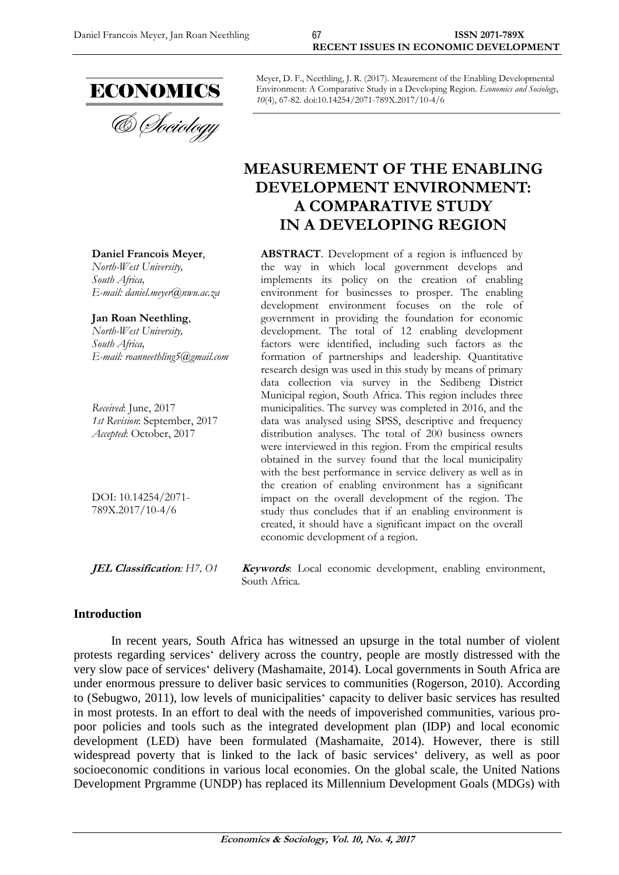

**Daniel Francois Meyer**, *North-West University,* 

*E-mail: [daniel.meyer@nwu.ac.za](mailto:daniel.meyer@nwu.ac.za)*

*E-mail: [roanneethling5@gmail.com](mailto:roanneethling5@gmail.com)*

*1st Revision*: September, 2017 *Accepted*: October, 2017

**Jan Roan Neethling**, *North-West University,* 

*Received*: June, 2017

DOI: 10.14254/2071- 789X.2017/10-4/6

*South Africa,*

*South Africa,*

& *Choiology* 

Meyer, D. F., Neethling, J. R. (2017). Meaurement of the Enabling Developmental Environment: A Comparative Study in a Developing Region. *Economics and Sociology*, *10*(4), 67-82. doi:10.14254/2071-789X.2017/10-4/6

# **MEASUREMENT OF THE ENABLING DEVELOPMENT ENVIRONMENT: A COMPARATIVE STUDY IN A DEVELOPING REGION**

**ABSTRACT**. Development of a region is influenced by the way in which local government develops and implements its policy on the creation of enabling environment for businesses to prosper. The enabling development environment focuses on the role of government in providing the foundation for economic development. The total of 12 enabling development factors were identified, including such factors as the formation of partnerships and leadership. Quantitative research design was used in this study by means of primary data collection via survey in the Sedibeng District Municipal region, South Africa. This region includes three municipalities. The survey was completed in 2016, and the data was analysed using SPSS, descriptive and frequency distribution analyses. The total of 200 business owners were interviewed in this region. From the empirical results obtained in the survey found that the local municipality with the best performance in service delivery as well as in the creation of enabling environment has a significant impact on the overall development of the region. The study thus concludes that if an enabling environment is created, it should have a significant impact on the overall economic development of a region.

**JEL Classification***: H7, O1* **Keywords**: Local economic development, enabling environment, South Africa*.*

#### **Introduction**

In recent years, South Africa has witnessed an upsurge in the total number of violent protests regarding services' delivery across the country, people are mostly distressed with the very slow pace of services' delivery (Mashamaite, 2014). Local governments in South Africa are under enormous pressure to deliver basic services to communities (Rogerson, 2010). According to (Sebugwo, 2011), low levels of municipalities' capacity to deliver basic services has resulted in most protests. In an effort to deal with the needs of impoverished communities, various propoor policies and tools such as the integrated development plan (IDP) and local economic development (LED) have been formulated (Mashamaite, 2014). However, there is still widespread poverty that is linked to the lack of basic services' delivery, as well as poor socioeconomic conditions in various local economies. On the global scale, the United Nations Development Prgramme (UNDP) has replaced its Millennium Development Goals (MDGs) with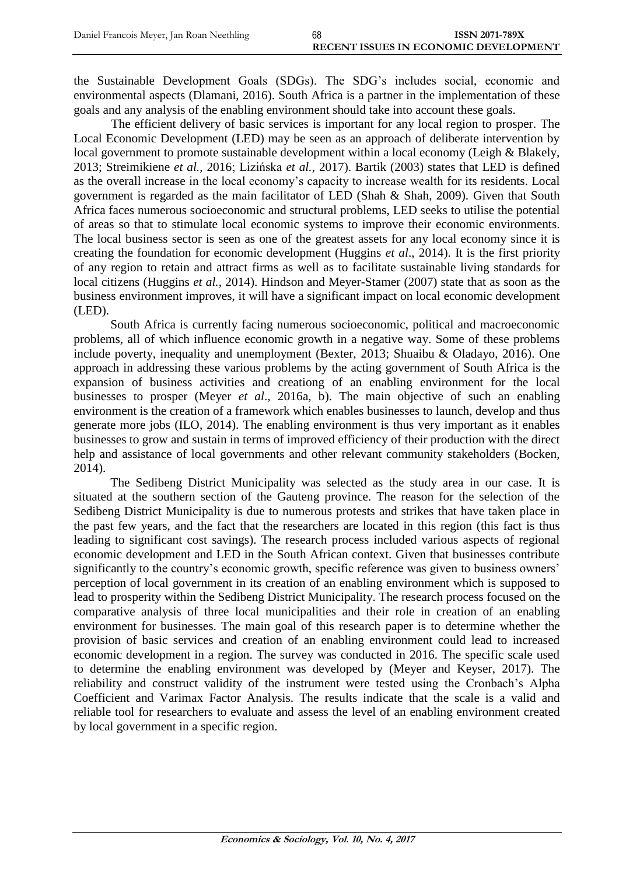the Sustainable Development Goals (SDGs). The SDG's includes social, economic and environmental aspects (Dlamani, 2016). South Africa is a partner in the implementation of these goals and any analysis of the enabling environment should take into account these goals.

The efficient delivery of basic services is important for any local region to prosper. The Local Economic Development (LED) may be seen as an approach of deliberate intervention by local government to promote sustainable development within a local economy (Leigh & Blakely, 2013; Streimikiene *et al.*, 2016; Lizińska *et al.*, 2017). Bartik (2003) states that LED is defined as the overall increase in the local economy's capacity to increase wealth for its residents. Local government is regarded as the main facilitator of LED (Shah & Shah, 2009). Given that South Africa faces numerous socioeconomic and structural problems, LED seeks to utilise the potential of areas so that to stimulate local economic systems to improve their economic environments. The local business sector is seen as one of the greatest assets for any local economy since it is creating the foundation for economic development (Huggins *et al*., 2014). It is the first priority of any region to retain and attract firms as well as to facilitate sustainable living standards for local citizens (Huggins *et al.*, 2014). Hindson and Meyer-Stamer (2007) state that as soon as the business environment improves, it will have a significant impact on local economic development (LED).

South Africa is currently facing numerous socioeconomic, political and macroeconomic problems, all of which influence economic growth in a negative way. Some of these problems include poverty, inequality and unemployment (Bexter, 2013; Shuaibu & Oladayo, 2016). One approach in addressing these various problems by the acting government of South Africa is the expansion of business activities and creationg of an enabling environment for the local businesses to prosper (Meyer *et al*., 2016a, b). The main objective of such an enabling environment is the creation of a framework which enables businesses to launch, develop and thus generate more jobs (ILO, 2014). The enabling environment is thus very important as it enables businesses to grow and sustain in terms of improved efficiency of their production with the direct help and assistance of local governments and other relevant community stakeholders (Bocken, 2014).

The Sedibeng District Municipality was selected as the study area in our case. It is situated at the southern section of the Gauteng province. The reason for the selection of the Sedibeng District Municipality is due to numerous protests and strikes that have taken place in the past few years, and the fact that the researchers are located in this region (this fact is thus leading to significant cost savings). The research process included various aspects of regional economic development and LED in the South African context. Given that businesses contribute significantly to the country's economic growth, specific reference was given to business owners' perception of local government in its creation of an enabling environment which is supposed to lead to prosperity within the Sedibeng District Municipality. The research process focused on the comparative analysis of three local municipalities and their role in creation of an enabling environment for businesses. The main goal of this research paper is to determine whether the provision of basic services and creation of an enabling environment could lead to increased economic development in a region. The survey was conducted in 2016. The specific scale used to determine the enabling environment was developed by (Meyer and Keyser, 2017). The reliability and construct validity of the instrument were tested using the Cronbach's Alpha Coefficient and Varimax Factor Analysis. The results indicate that the scale is a valid and reliable tool for researchers to evaluate and assess the level of an enabling environment created by local government in a specific region.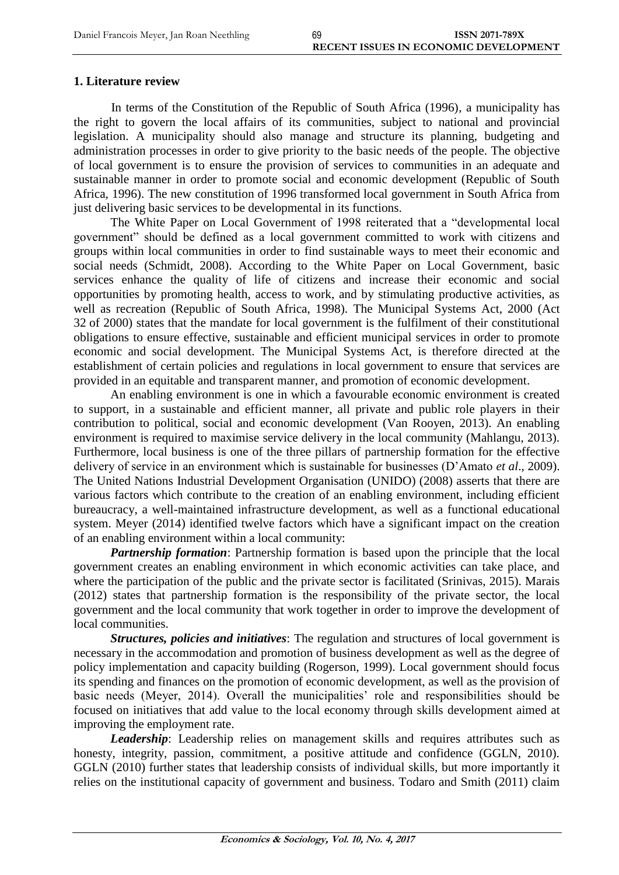## **1. Literature review**

In terms of the Constitution of the Republic of South Africa (1996), a municipality has the right to govern the local affairs of its communities, subject to national and provincial legislation. A municipality should also manage and structure its planning, budgeting and administration processes in order to give priority to the basic needs of the people. The objective of local government is to ensure the provision of services to communities in an adequate and sustainable manner in order to promote social and economic development (Republic of South Africa, 1996). The new constitution of 1996 transformed local government in South Africa from just delivering basic services to be developmental in its functions.

The White Paper on Local Government of 1998 reiterated that a "developmental local government" should be defined as a local government committed to work with citizens and groups within local communities in order to find sustainable ways to meet their economic and social needs (Schmidt, 2008). According to the White Paper on Local Government, basic services enhance the quality of life of citizens and increase their economic and social opportunities by promoting health, access to work, and by stimulating productive activities, as well as recreation (Republic of South Africa, 1998). The Municipal Systems Act, 2000 (Act 32 of 2000) states that the mandate for local government is the fulfilment of their constitutional obligations to ensure effective, sustainable and efficient municipal services in order to promote economic and social development. The Municipal Systems Act, is therefore directed at the establishment of certain policies and regulations in local government to ensure that services are provided in an equitable and transparent manner, and promotion of economic development.

An enabling environment is one in which a favourable economic environment is created to support, in a sustainable and efficient manner, all private and public role players in their contribution to political, social and economic development (Van Rooyen, 2013). An enabling environment is required to maximise service delivery in the local community (Mahlangu, 2013). Furthermore, local business is one of the three pillars of partnership formation for the effective delivery of service in an environment which is sustainable for businesses (D'Amato *et al*., 2009). The United Nations Industrial Development Organisation (UNIDO) (2008) asserts that there are various factors which contribute to the creation of an enabling environment, including efficient bureaucracy, a well-maintained infrastructure development, as well as a functional educational system. Meyer (2014) identified twelve factors which have a significant impact on the creation of an enabling environment within a local community:

*Partnership formation*: Partnership formation is based upon the principle that the local government creates an enabling environment in which economic activities can take place, and where the participation of the public and the private sector is facilitated (Srinivas, 2015). Marais (2012) states that partnership formation is the responsibility of the private sector, the local government and the local community that work together in order to improve the development of local communities.

*Structures, policies and initiatives*: The regulation and structures of local government is necessary in the accommodation and promotion of business development as well as the degree of policy implementation and capacity building (Rogerson, 1999). Local government should focus its spending and finances on the promotion of economic development, as well as the provision of basic needs (Meyer, 2014). Overall the municipalities' role and responsibilities should be focused on initiatives that add value to the local economy through skills development aimed at improving the employment rate.

*Leadership*: Leadership relies on management skills and requires attributes such as honesty, integrity, passion, commitment, a positive attitude and confidence (GGLN, 2010). GGLN (2010) further states that leadership consists of individual skills, but more importantly it relies on the institutional capacity of government and business. Todaro and Smith (2011) claim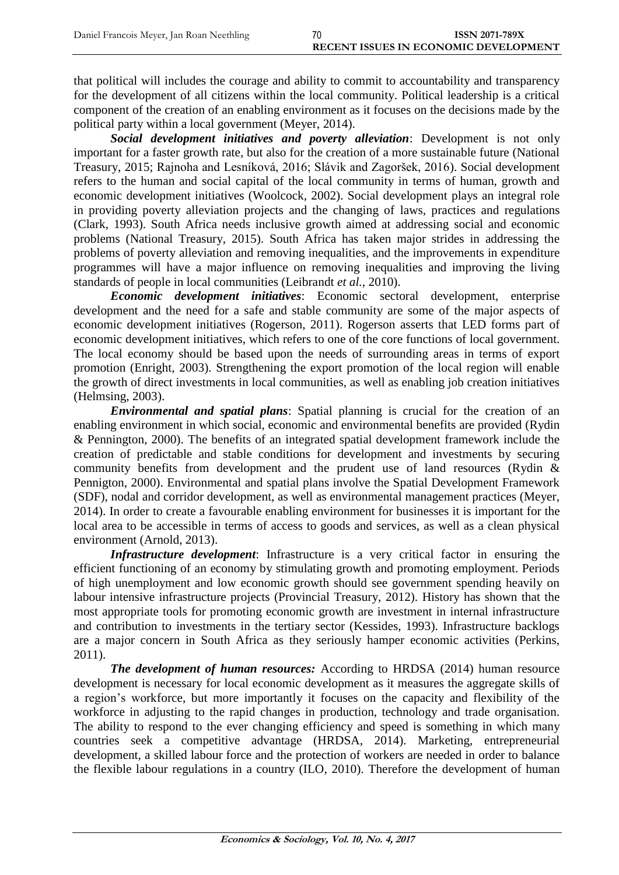that political will includes the courage and ability to commit to accountability and transparency for the development of all citizens within the local community. Political leadership is a critical component of the creation of an enabling environment as it focuses on the decisions made by the political party within a local government (Meyer, 2014).

*Social development initiatives and poverty alleviation*: Development is not only important for a faster growth rate, but also for the creation of a more sustainable future (National Treasury, 2015; Rajnoha and Lesníková, 2016; Slávik and Zagoršek, 2016). Social development refers to the human and social capital of the local community in terms of human, growth and economic development initiatives (Woolcock, 2002). Social development plays an integral role in providing poverty alleviation projects and the changing of laws, practices and regulations (Clark, 1993). South Africa needs inclusive growth aimed at addressing social and economic problems (National Treasury, 2015). South Africa has taken major strides in addressing the problems of poverty alleviation and removing inequalities, and the improvements in expenditure programmes will have a major influence on removing inequalities and improving the living standards of people in local communities (Leibrandt *et al.*, 2010).

*Economic development initiatives*: Economic sectoral development, enterprise development and the need for a safe and stable community are some of the major aspects of economic development initiatives (Rogerson, 2011). Rogerson asserts that LED forms part of economic development initiatives, which refers to one of the core functions of local government. The local economy should be based upon the needs of surrounding areas in terms of export promotion (Enright, 2003). Strengthening the export promotion of the local region will enable the growth of direct investments in local communities, as well as enabling job creation initiatives (Helmsing, 2003).

*Environmental and spatial plans*: Spatial planning is crucial for the creation of an enabling environment in which social, economic and environmental benefits are provided (Rydin & Pennington, 2000). The benefits of an integrated spatial development framework include the creation of predictable and stable conditions for development and investments by securing community benefits from development and the prudent use of land resources (Rydin & Pennigton, 2000). Environmental and spatial plans involve the Spatial Development Framework (SDF), nodal and corridor development, as well as environmental management practices (Meyer, 2014). In order to create a favourable enabling environment for businesses it is important for the local area to be accessible in terms of access to goods and services, as well as a clean physical environment (Arnold, 2013).

*Infrastructure development*: Infrastructure is a very critical factor in ensuring the efficient functioning of an economy by stimulating growth and promoting employment. Periods of high unemployment and low economic growth should see government spending heavily on labour intensive infrastructure projects (Provincial Treasury, 2012). History has shown that the most appropriate tools for promoting economic growth are investment in internal infrastructure and contribution to investments in the tertiary sector (Kessides, 1993). Infrastructure backlogs are a major concern in South Africa as they seriously hamper economic activities (Perkins, 2011).

*The development of human resources:* According to HRDSA (2014) human resource development is necessary for local economic development as it measures the aggregate skills of a region's workforce, but more importantly it focuses on the capacity and flexibility of the workforce in adjusting to the rapid changes in production, technology and trade organisation. The ability to respond to the ever changing efficiency and speed is something in which many countries seek a competitive advantage (HRDSA, 2014). Marketing, entrepreneurial development, a skilled labour force and the protection of workers are needed in order to balance the flexible labour regulations in a country (ILO, 2010). Therefore the development of human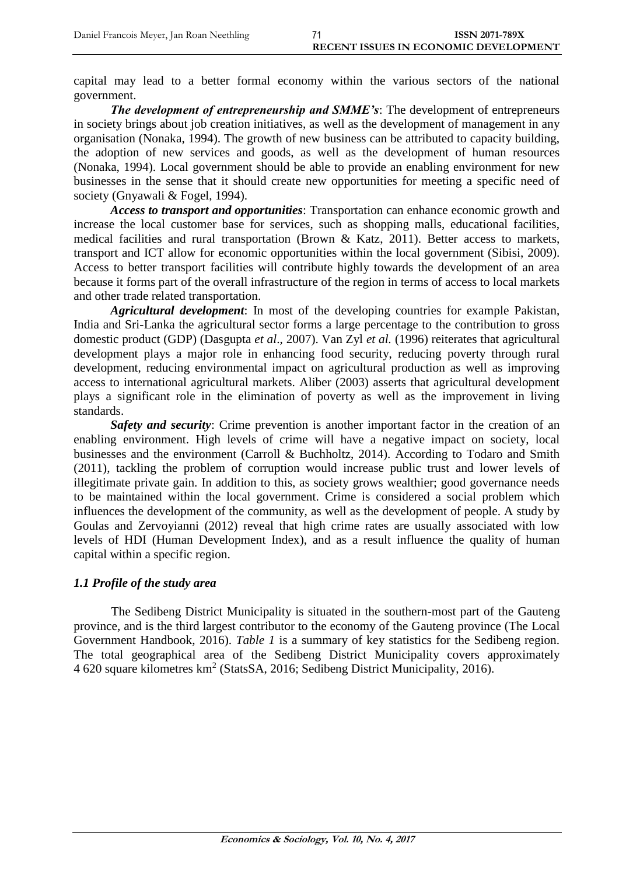capital may lead to a better formal economy within the various sectors of the national government.

*The development of entrepreneurship and SMME's:* **The development of entrepreneurs** in society brings about job creation initiatives, as well as the development of management in any organisation (Nonaka, 1994). The growth of new business can be attributed to capacity building, the adoption of new services and goods, as well as the development of human resources (Nonaka, 1994). Local government should be able to provide an enabling environment for new businesses in the sense that it should create new opportunities for meeting a specific need of society (Gnyawali & Fogel, 1994).

*Access to transport and opportunities*: Transportation can enhance economic growth and increase the local customer base for services, such as shopping malls, educational facilities, medical facilities and rural transportation (Brown & Katz, 2011). Better access to markets, transport and ICT allow for economic opportunities within the local government (Sibisi, 2009). Access to better transport facilities will contribute highly towards the development of an area because it forms part of the overall infrastructure of the region in terms of access to local markets and other trade related transportation.

*Agricultural development*: In most of the developing countries for example Pakistan, India and Sri-Lanka the agricultural sector forms a large percentage to the contribution to gross domestic product (GDP) (Dasgupta *et al*., 2007). Van Zyl *et al.* (1996) reiterates that agricultural development plays a major role in enhancing food security, reducing poverty through rural development, reducing environmental impact on agricultural production as well as improving access to international agricultural markets. Aliber (2003) asserts that agricultural development plays a significant role in the elimination of poverty as well as the improvement in living standards.

*Safety and security*: Crime prevention is another important factor in the creation of an enabling environment. High levels of crime will have a negative impact on society, local businesses and the environment (Carroll & Buchholtz, 2014). According to Todaro and Smith (2011), tackling the problem of corruption would increase public trust and lower levels of illegitimate private gain. In addition to this, as society grows wealthier; good governance needs to be maintained within the local government. Crime is considered a social problem which influences the development of the community, as well as the development of people. A study by Goulas and Zervoyianni (2012) reveal that high crime rates are usually associated with low levels of HDI (Human Development Index), and as a result influence the quality of human capital within a specific region.

## *1.1 Profile of the study area*

The Sedibeng District Municipality is situated in the southern-most part of the Gauteng province, and is the third largest contributor to the economy of the Gauteng province (The Local Government Handbook, 2016). *Table 1* is a summary of key statistics for the Sedibeng region. The total geographical area of the Sedibeng District Municipality covers approximately 4 620 square kilometres km<sup>2</sup> (StatsSA, 2016; Sedibeng District Municipality, 2016).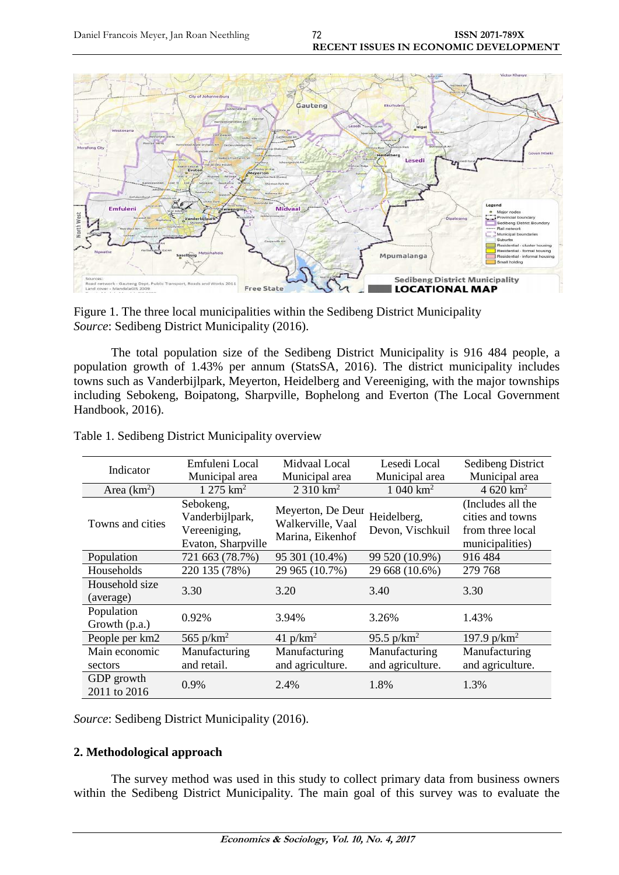

Figure 1. The three local municipalities within the Sedibeng District Municipality *Source*: Sedibeng District Municipality (2016).

The total population size of the Sedibeng District Municipality is 916 484 people, a population growth of 1.43% per annum (StatsSA, 2016). The district municipality includes towns such as Vanderbijlpark, Meyerton, Heidelberg and Vereeniging, with the major townships including Sebokeng, Boipatong, Sharpville, Bophelong and Everton (The Local Government Handbook, 2016).

| Indicator                   | Emfuleni Local                                                     | Midvaal Local                                              | Lesedi Local                      | <b>Sedibeng District</b>                                                     |
|-----------------------------|--------------------------------------------------------------------|------------------------------------------------------------|-----------------------------------|------------------------------------------------------------------------------|
|                             | Municipal area                                                     | Municipal area                                             | Municipal area                    | Municipal area                                                               |
| Area $(km2)$                | $1275 \text{ km}^2$                                                | $2310 \text{ km}^2$                                        | $1040 \text{ km}^2$               | 4 620 $km^2$                                                                 |
| Towns and cities            | Sebokeng,<br>Vanderbijlpark,<br>Vereeniging,<br>Evaton, Sharpville | Meyerton, De Deur<br>Walkerville, Vaal<br>Marina, Eikenhof | Heidelberg,<br>Devon, Vischkuil   | (Includes all the<br>cities and towns<br>from three local<br>municipalities) |
| Population                  | 721 663 (78.7%)                                                    | 95 301 (10.4%)                                             | 99 520 (10.9%)                    | 916 484                                                                      |
| Households                  | 220 135 (78%)                                                      | 29 965 (10.7%)                                             | 29 668 (10.6%)                    | 279 768                                                                      |
| Household size<br>(average) | 3.30                                                               | 3.20                                                       | 3.40                              | 3.30                                                                         |
| Population<br>Growth (p.a.) | 0.92%                                                              | 3.94%                                                      | 3.26%                             | 1.43%                                                                        |
| People per km2              | 565 $p/km2$                                                        | 41 $p/km^2$                                                | 95.5 $p/km^2$                     | 197.9 $p/km^2$                                                               |
| Main economic<br>sectors    | Manufacturing<br>and retail.                                       | Manufacturing<br>and agriculture.                          | Manufacturing<br>and agriculture. | Manufacturing<br>and agriculture.                                            |
| GDP growth<br>2011 to 2016  | 0.9%                                                               | 2.4%                                                       | 1.8%                              | 1.3%                                                                         |

Table 1. Sedibeng District Municipality overview

*Source*: Sedibeng District Municipality (2016).

## **2. Methodological approach**

The survey method was used in this study to collect primary data from business owners within the Sedibeng District Municipality. The main goal of this survey was to evaluate the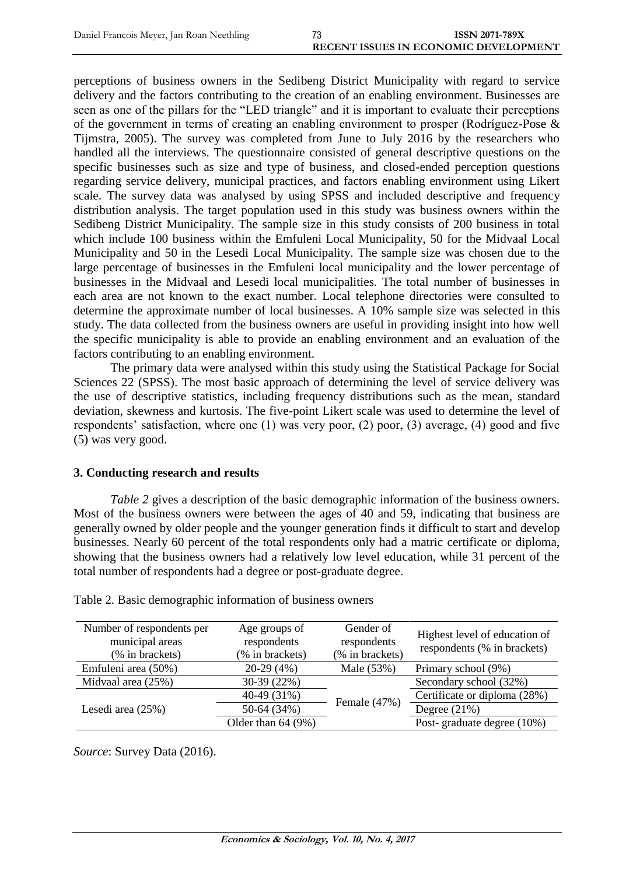perceptions of business owners in the Sedibeng District Municipality with regard to service delivery and the factors contributing to the creation of an enabling environment. Businesses are seen as one of the pillars for the "LED triangle" and it is important to evaluate their perceptions of the government in terms of creating an enabling environment to prosper (Rodríguez-Pose & Tijmstra, 2005). The survey was completed from June to July 2016 by the researchers who handled all the interviews. The questionnaire consisted of general descriptive questions on the specific businesses such as size and type of business, and closed-ended perception questions regarding service delivery, municipal practices, and factors enabling environment using Likert scale. The survey data was analysed by using SPSS and included descriptive and frequency distribution analysis. The target population used in this study was business owners within the Sedibeng District Municipality. The sample size in this study consists of 200 business in total which include 100 business within the Emfuleni Local Municipality, 50 for the Midvaal Local Municipality and 50 in the Lesedi Local Municipality. The sample size was chosen due to the large percentage of businesses in the Emfuleni local municipality and the lower percentage of businesses in the Midvaal and Lesedi local municipalities. The total number of businesses in each area are not known to the exact number. Local telephone directories were consulted to determine the approximate number of local businesses. A 10% sample size was selected in this study. The data collected from the business owners are useful in providing insight into how well the specific municipality is able to provide an enabling environment and an evaluation of the factors contributing to an enabling environment.

The primary data were analysed within this study using the Statistical Package for Social Sciences 22 (SPSS). The most basic approach of determining the level of service delivery was the use of descriptive statistics, including frequency distributions such as the mean, standard deviation, skewness and kurtosis. The five-point Likert scale was used to determine the level of respondents' satisfaction, where one (1) was very poor, (2) poor, (3) average, (4) good and five (5) was very good.

#### **3. Conducting research and results**

*Table 2* gives a description of the basic demographic information of the business owners. Most of the business owners were between the ages of 40 and 59, indicating that business are generally owned by older people and the younger generation finds it difficult to start and develop businesses. Nearly 60 percent of the total respondents only had a matric certificate or diploma, showing that the business owners had a relatively low level education, while 31 percent of the total number of respondents had a degree or post-graduate degree.

| Number of respondents per<br>municipal areas<br>(% in brackets) | Age groups of<br>respondents<br>(% in brackets) | Gender of<br>respondents<br>(% in brackets) | Highest level of education of<br>respondents (% in brackets) |
|-----------------------------------------------------------------|-------------------------------------------------|---------------------------------------------|--------------------------------------------------------------|
| Emfuleni area (50%)                                             | $20-29(4%)$                                     | Male (53%)                                  | Primary school (9%)                                          |
| Midvaal area (25%)                                              | 30-39 (22%)                                     |                                             | Secondary school (32%)                                       |
|                                                                 | 40-49 (31%)                                     |                                             | Certificate or diploma (28%)                                 |
| Lesedi area $(25%)$                                             | 50-64 (34%)                                     | Female (47%)                                | Degree $(21\%)$                                              |
|                                                                 | Older than $64(9%)$                             |                                             | Post-graduate degree (10%)                                   |

Table 2. Basic demographic information of business owners

*Source*: Survey Data (2016).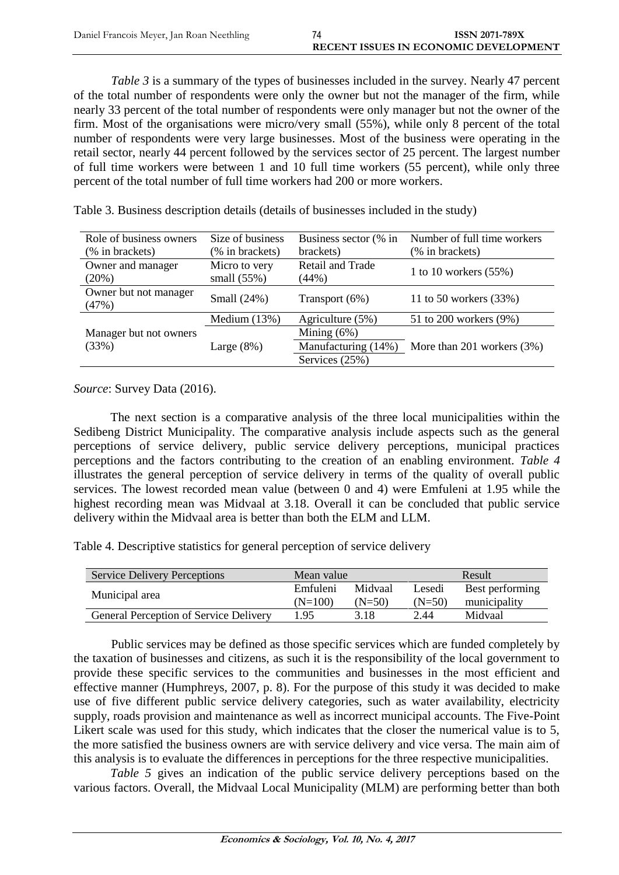*Table 3* is a summary of the types of businesses included in the survey. Nearly 47 percent of the total number of respondents were only the owner but not the manager of the firm, while nearly 33 percent of the total number of respondents were only manager but not the owner of the firm. Most of the organisations were micro/very small (55%), while only 8 percent of the total number of respondents were very large businesses. Most of the business were operating in the retail sector, nearly 44 percent followed by the services sector of 25 percent. The largest number of full time workers were between 1 and 10 full time workers (55 percent), while only three percent of the total number of full time workers had 200 or more workers.

| Role of business owners        | Size of business | Business sector (% in | Number of full time workers |
|--------------------------------|------------------|-----------------------|-----------------------------|
| (% in brackets)                | (% in brackets)  | brackets)             | (% in brackets)             |
| Owner and manager              | Micro to very    | Retail and Trade      |                             |
| (20%)                          | small $(55\%)$   | (44%)                 | 1 to 10 workers $(55%)$     |
| Owner but not manager<br>(47%) | Small (24%)      | Transport (6%)        | 11 to 50 workers (33%)      |
|                                | Medium $(13%)$   | Agriculture (5%)      | 51 to 200 workers (9%)      |
| Manager but not owners         |                  | Mining $(6%)$         |                             |
| (33%)                          | Large $(8\%)$    | Manufacturing (14%)   | More than 201 workers (3%)  |
|                                |                  | Services (25%)        |                             |

Table 3. Business description details (details of businesses included in the study)

*Source*: Survey Data (2016).

The next section is a comparative analysis of the three local municipalities within the Sedibeng District Municipality. The comparative analysis include aspects such as the general perceptions of service delivery, public service delivery perceptions, municipal practices perceptions and the factors contributing to the creation of an enabling environment. *Table 4* illustrates the general perception of service delivery in terms of the quality of overall public services. The lowest recorded mean value (between 0 and 4) were Emfuleni at 1.95 while the highest recording mean was Midvaal at 3.18. Overall it can be concluded that public service delivery within the Midvaal area is better than both the ELM and LLM.

Table 4. Descriptive statistics for general perception of service delivery

| <b>Service Delivery Perceptions</b>           | Mean value            |                     |                    | Result                          |
|-----------------------------------------------|-----------------------|---------------------|--------------------|---------------------------------|
| Municipal area                                | Emfuleni<br>$(N=100)$ | Midvaal<br>$(N=50)$ | Lesedi<br>$(N=50)$ | Best performing<br>municipality |
| <b>General Perception of Service Delivery</b> | 195                   | 3.18                | 2.44               | Midvaal                         |

Public services may be defined as those specific services which are funded completely by the taxation of businesses and citizens, as such it is the responsibility of the local government to provide these specific services to the communities and businesses in the most efficient and effective manner (Humphreys, 2007, p. 8). For the purpose of this study it was decided to make use of five different public service delivery categories, such as water availability, electricity supply, roads provision and maintenance as well as incorrect municipal accounts. The Five-Point Likert scale was used for this study, which indicates that the closer the numerical value is to 5, the more satisfied the business owners are with service delivery and vice versa. The main aim of this analysis is to evaluate the differences in perceptions for the three respective municipalities.

*Table 5* gives an indication of the public service delivery perceptions based on the various factors. Overall, the Midvaal Local Municipality (MLM) are performing better than both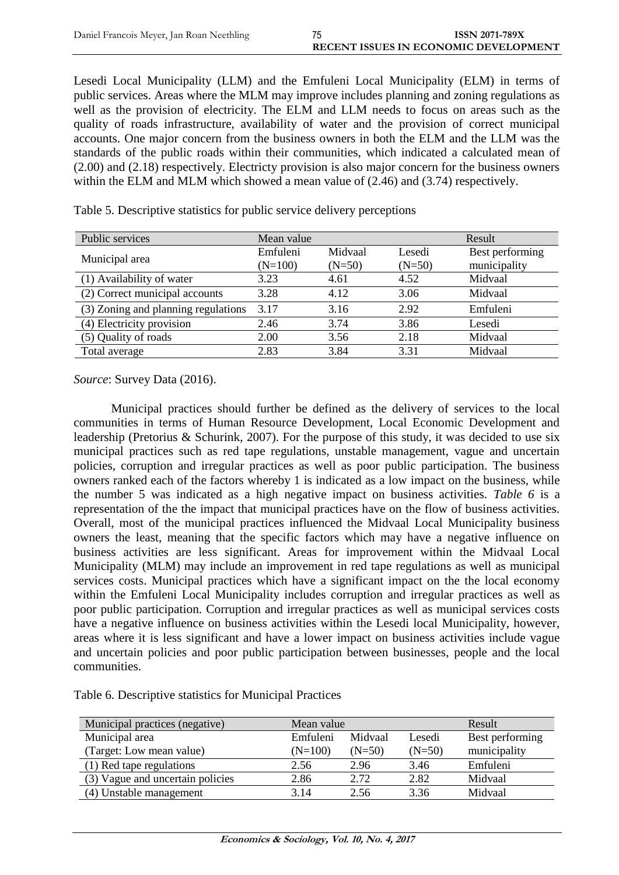Lesedi Local Municipality (LLM) and the Emfuleni Local Municipality (ELM) in terms of public services. Areas where the MLM may improve includes planning and zoning regulations as well as the provision of electricity. The ELM and LLM needs to focus on areas such as the quality of roads infrastructure, availability of water and the provision of correct municipal accounts. One major concern from the business owners in both the ELM and the LLM was the standards of the public roads within their communities, which indicated a calculated mean of (2.00) and (2.18) respectively. Electricty provision is also major concern for the business owners within the ELM and MLM which showed a mean value of (2.46) and (3.74) respectively.

| Public services                     | Mean value            |                     |                    | Result                          |
|-------------------------------------|-----------------------|---------------------|--------------------|---------------------------------|
| Municipal area                      | Emfuleni<br>$(N=100)$ | Midvaal<br>$(N=50)$ | Lesedi<br>$(N=50)$ | Best performing<br>municipality |
| (1) Availability of water           | 3.23                  | 4.61                | 4.52               | Midvaal                         |
| (2) Correct municipal accounts      | 3.28                  | 4.12                | 3.06               | Midvaal                         |
| (3) Zoning and planning regulations | 3.17                  | 3.16                | 2.92               | Emfuleni                        |
| (4) Electricity provision           | 2.46                  | 3.74                | 3.86               | Lesedi                          |
| (5) Quality of roads                | 2.00                  | 3.56                | 2.18               | Midvaal                         |
| Total average                       | 2.83                  | 3.84                | 3.31               | Midvaal                         |

Table 5. Descriptive statistics for public service delivery perceptions

*Source*: Survey Data (2016).

Municipal practices should further be defined as the delivery of services to the local communities in terms of Human Resource Development, Local Economic Development and leadership (Pretorius & Schurink, 2007). For the purpose of this study, it was decided to use six municipal practices such as red tape regulations, unstable management, vague and uncertain policies, corruption and irregular practices as well as poor public participation. The business owners ranked each of the factors whereby 1 is indicated as a low impact on the business, while the number 5 was indicated as a high negative impact on business activities. *Table 6* is a representation of the the impact that municipal practices have on the flow of business activities. Overall, most of the municipal practices influenced the Midvaal Local Municipality business owners the least, meaning that the specific factors which may have a negative influence on business activities are less significant. Areas for improvement within the Midvaal Local Municipality (MLM) may include an improvement in red tape regulations as well as municipal services costs. Municipal practices which have a significant impact on the the local economy within the Emfuleni Local Municipality includes corruption and irregular practices as well as poor public participation. Corruption and irregular practices as well as municipal services costs have a negative influence on business activities within the Lesedi local Municipality, however, areas where it is less significant and have a lower impact on business activities include vague and uncertain policies and poor public participation between businesses, people and the local communities.

| Table 6. Descriptive statistics for Municipal Practices |  |  |  |
|---------------------------------------------------------|--|--|--|
|---------------------------------------------------------|--|--|--|

| Municipal practices (negative)   | Mean value |          | Result   |                 |
|----------------------------------|------------|----------|----------|-----------------|
| Municipal area                   | Emfuleni   | Midvaal  | Lesedi   | Best performing |
| (Target: Low mean value)         | $(N=100)$  | $(N=50)$ | $(N=50)$ | municipality    |
| (1) Red tape regulations         | 2.56       | 2.96     | 3.46     | Emfuleni        |
| (3) Vague and uncertain policies | 2.86       | 2.72     | 2.82     | Midvaal         |
| (4) Unstable management          | 3.14       | 2.56     | 3.36     | Midvaal         |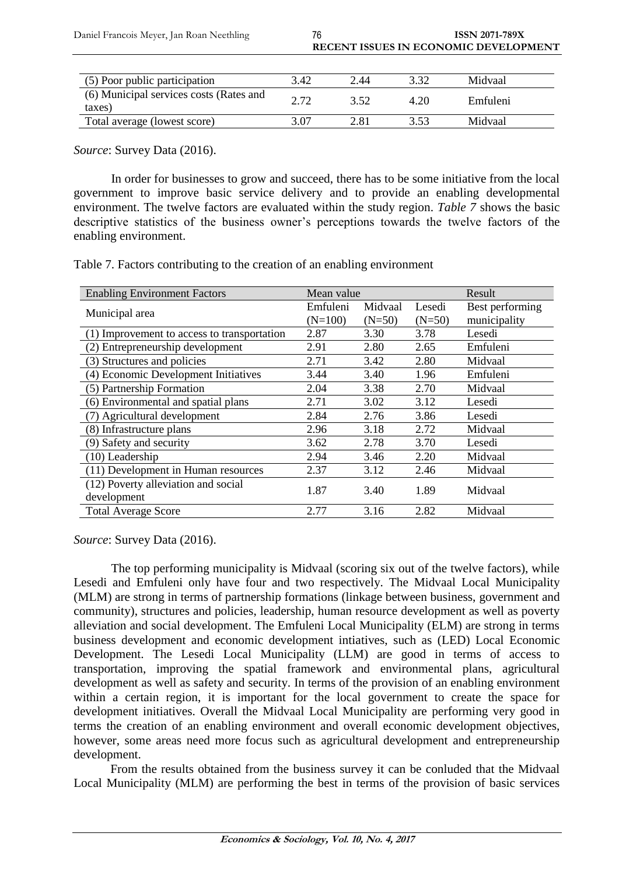| (5) Poor public participation                     | 3.42 | 2.44 |      | Midvaal  |
|---------------------------------------------------|------|------|------|----------|
| (6) Municipal services costs (Rates and<br>taxes) | ר ר  | 3.52 | 4.20 | Emfuleni |
| Total average (lowest score)                      | 3.07 | 2.81 | 3 53 | Midvaal  |

*Source*: Survey Data (2016).

In order for businesses to grow and succeed, there has to be some initiative from the local government to improve basic service delivery and to provide an enabling developmental environment. The twelve factors are evaluated within the study region. *Table 7* shows the basic descriptive statistics of the business owner's perceptions towards the twelve factors of the enabling environment.

Table 7. Factors contributing to the creation of an enabling environment

| <b>Enabling Environment Factors</b>         | Mean value |          |          | Result          |
|---------------------------------------------|------------|----------|----------|-----------------|
| Municipal area                              | Emfuleni   | Midvaal  | Lesedi   | Best performing |
|                                             | $(N=100)$  | $(N=50)$ | $(N=50)$ | municipality    |
| (1) Improvement to access to transportation | 2.87       | 3.30     | 3.78     | Lesedi          |
| (2) Entrepreneurship development            | 2.91       | 2.80     | 2.65     | Emfuleni        |
| (3) Structures and policies                 | 2.71       | 3.42     | 2.80     | Midvaal         |
| (4) Economic Development Initiatives        | 3.44       | 3.40     | 1.96     | Emfuleni        |
| (5) Partnership Formation                   | 2.04       | 3.38     | 2.70     | Midvaal         |
| (6) Environmental and spatial plans         | 2.71       | 3.02     | 3.12     | Lesedi          |
| (7) Agricultural development                | 2.84       | 2.76     | 3.86     | Lesedi          |
| (8) Infrastructure plans                    | 2.96       | 3.18     | 2.72     | Midvaal         |
| (9) Safety and security                     | 3.62       | 2.78     | 3.70     | Lesedi          |
| $(10)$ Leadership                           | 2.94       | 3.46     | 2.20     | Midvaal         |
| (11) Development in Human resources         | 2.37       | 3.12     | 2.46     | Midvaal         |
| (12) Poverty alleviation and social         | 1.87       | 3.40     | 1.89     | Midvaal         |
| development                                 |            |          |          |                 |
| <b>Total Average Score</b>                  | 2.77       | 3.16     | 2.82     | Midvaal         |

*Source*: Survey Data (2016).

The top performing municipality is Midvaal (scoring six out of the twelve factors), while Lesedi and Emfuleni only have four and two respectively. The Midvaal Local Municipality (MLM) are strong in terms of partnership formations (linkage between business, government and community), structures and policies, leadership, human resource development as well as poverty alleviation and social development. The Emfuleni Local Municipality (ELM) are strong in terms business development and economic development intiatives, such as (LED) Local Economic Development. The Lesedi Local Municipality (LLM) are good in terms of access to transportation, improving the spatial framework and environmental plans, agricultural development as well as safety and security. In terms of the provision of an enabling environment within a certain region, it is important for the local government to create the space for development initiatives. Overall the Midvaal Local Municipality are performing very good in terms the creation of an enabling environment and overall economic development objectives, however, some areas need more focus such as agricultural development and entrepreneurship development.

From the results obtained from the business survey it can be conluded that the Midvaal Local Municipality (MLM) are performing the best in terms of the provision of basic services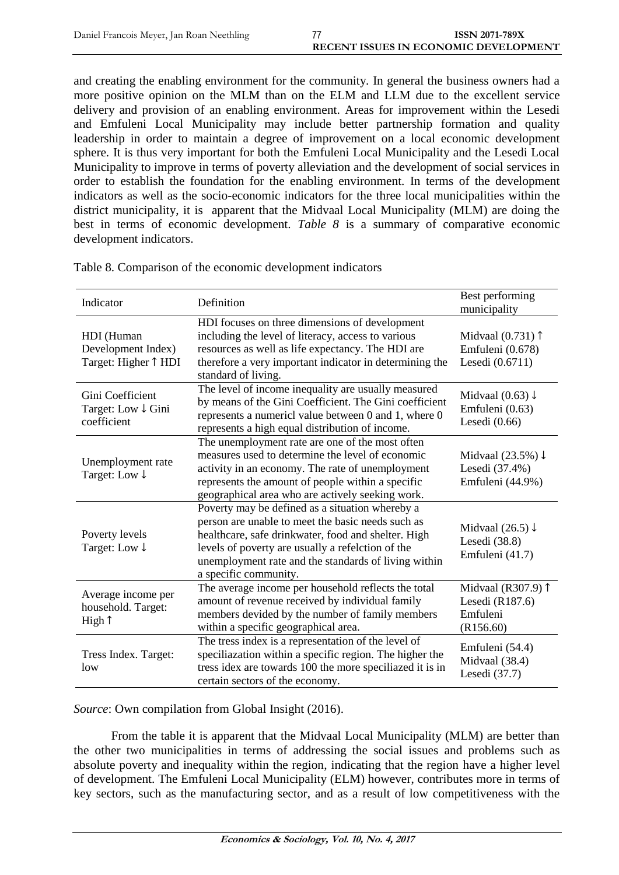and creating the enabling environment for the community. In general the business owners had a more positive opinion on the MLM than on the ELM and LLM due to the excellent service delivery and provision of an enabling environment. Areas for improvement within the Lesedi and Emfuleni Local Municipality may include better partnership formation and quality leadership in order to maintain a degree of improvement on a local economic development sphere. It is thus very important for both the Emfuleni Local Municipality and the Lesedi Local Municipality to improve in terms of poverty alleviation and the development of social services in order to establish the foundation for the enabling environment. In terms of the development indicators as well as the socio-economic indicators for the three local municipalities within the district municipality, it is apparent that the Midvaal Local Municipality (MLM) are doing the best in terms of economic development. *Table 8* is a summary of comparative economic development indicators.

| Indicator                                                | Definition                                                                                                                                                                                                                                                                                        | Best performing<br>municipality                                     |
|----------------------------------------------------------|---------------------------------------------------------------------------------------------------------------------------------------------------------------------------------------------------------------------------------------------------------------------------------------------------|---------------------------------------------------------------------|
| HDI (Human<br>Development Index)<br>Target: Higher 1 HDI | HDI focuses on three dimensions of development<br>including the level of literacy, access to various<br>resources as well as life expectancy. The HDI are<br>therefore a very important indicator in determining the<br>standard of living.                                                       | Midvaal $(0.731)$ $\uparrow$<br>Emfuleni (0.678)<br>Lesedi (0.6711) |
| Gini Coefficient<br>Target: Low ↓ Gini<br>coefficient    | The level of income inequality are usually measured<br>by means of the Gini Coefficient. The Gini coefficient<br>represents a numericl value between 0 and 1, where 0<br>represents a high equal distribution of income.                                                                          | Midvaal $(0.63) \downarrow$<br>Emfuleni (0.63)<br>Lesedi $(0.66)$   |
| Unemployment rate<br>Target: Low ↓                       | The unemployment rate are one of the most often<br>measures used to determine the level of economic<br>activity in an economy. The rate of unemployment<br>represents the amount of people within a specific<br>geographical area who are actively seeking work.                                  | Midvaal $(23.5\%) \downarrow$<br>Lesedi (37.4%)<br>Emfuleni (44.9%) |
| Poverty levels<br>Target: Low ↓                          | Poverty may be defined as a situation whereby a<br>person are unable to meet the basic needs such as<br>healthcare, safe drinkwater, food and shelter. High<br>levels of poverty are usually a refelction of the<br>unemployment rate and the standards of living within<br>a specific community. | Midvaal $(26.5) \downarrow$<br>Lesedi (38.8)<br>Emfuleni (41.7)     |
| Average income per<br>household. Target:<br>High 1       | The average income per household reflects the total<br>amount of revenue received by individual family<br>members devided by the number of family members<br>within a specific geographical area.                                                                                                 | Midvaal (R307.9) 1<br>Lesedi $(R187.6)$<br>Emfuleni<br>(R156.60)    |
| Tress Index. Target:<br>1 <sub>0</sub>                   | The tress index is a representation of the level of<br>speciliazation within a specific region. The higher the<br>tress idex are towards 100 the more speciliazed it is in<br>certain sectors of the economy.                                                                                     | Emfuleni (54.4)<br>Midvaal (38.4)<br>Lesedi (37.7)                  |

Table 8. Comparison of the economic development indicators

*Source*: Own compilation from Global Insight (2016).

From the table it is apparent that the Midvaal Local Municipality (MLM) are better than the other two municipalities in terms of addressing the social issues and problems such as absolute poverty and inequality within the region, indicating that the region have a higher level of development. The Emfuleni Local Municipality (ELM) however, contributes more in terms of key sectors, such as the manufacturing sector, and as a result of low competitiveness with the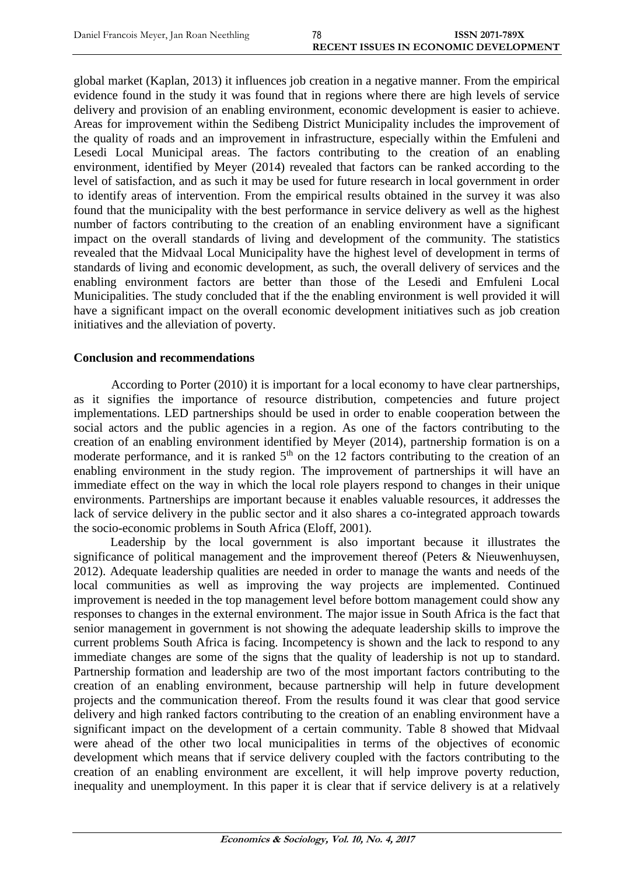global market (Kaplan, 2013) it influences job creation in a negative manner. From the empirical evidence found in the study it was found that in regions where there are high levels of service delivery and provision of an enabling environment, economic development is easier to achieve. Areas for improvement within the Sedibeng District Municipality includes the improvement of the quality of roads and an improvement in infrastructure, especially within the Emfuleni and Lesedi Local Municipal areas. The factors contributing to the creation of an enabling environment, identified by Meyer (2014) revealed that factors can be ranked according to the level of satisfaction, and as such it may be used for future research in local government in order to identify areas of intervention. From the empirical results obtained in the survey it was also found that the municipality with the best performance in service delivery as well as the highest number of factors contributing to the creation of an enabling environment have a significant impact on the overall standards of living and development of the community. The statistics revealed that the Midvaal Local Municipality have the highest level of development in terms of standards of living and economic development, as such, the overall delivery of services and the enabling environment factors are better than those of the Lesedi and Emfuleni Local Municipalities. The study concluded that if the the enabling environment is well provided it will have a significant impact on the overall economic development initiatives such as job creation initiatives and the alleviation of poverty.

#### **Conclusion and recommendations**

According to Porter (2010) it is important for a local economy to have clear partnerships, as it signifies the importance of resource distribution, competencies and future project implementations. LED partnerships should be used in order to enable cooperation between the social actors and the public agencies in a region. As one of the factors contributing to the creation of an enabling environment identified by Meyer (2014), partnership formation is on a moderate performance, and it is ranked  $5<sup>th</sup>$  on the 12 factors contributing to the creation of an enabling environment in the study region. The improvement of partnerships it will have an immediate effect on the way in which the local role players respond to changes in their unique environments. Partnerships are important because it enables valuable resources, it addresses the lack of service delivery in the public sector and it also shares a co-integrated approach towards the socio-economic problems in South Africa (Eloff, 2001).

Leadership by the local government is also important because it illustrates the significance of political management and the improvement thereof (Peters & Nieuwenhuysen, 2012). Adequate leadership qualities are needed in order to manage the wants and needs of the local communities as well as improving the way projects are implemented. Continued improvement is needed in the top management level before bottom management could show any responses to changes in the external environment. The major issue in South Africa is the fact that senior management in government is not showing the adequate leadership skills to improve the current problems South Africa is facing. Incompetency is shown and the lack to respond to any immediate changes are some of the signs that the quality of leadership is not up to standard. Partnership formation and leadership are two of the most important factors contributing to the creation of an enabling environment, because partnership will help in future development projects and the communication thereof. From the results found it was clear that good service delivery and high ranked factors contributing to the creation of an enabling environment have a significant impact on the development of a certain community. Table 8 showed that Midvaal were ahead of the other two local municipalities in terms of the objectives of economic development which means that if service delivery coupled with the factors contributing to the creation of an enabling environment are excellent, it will help improve poverty reduction, inequality and unemployment. In this paper it is clear that if service delivery is at a relatively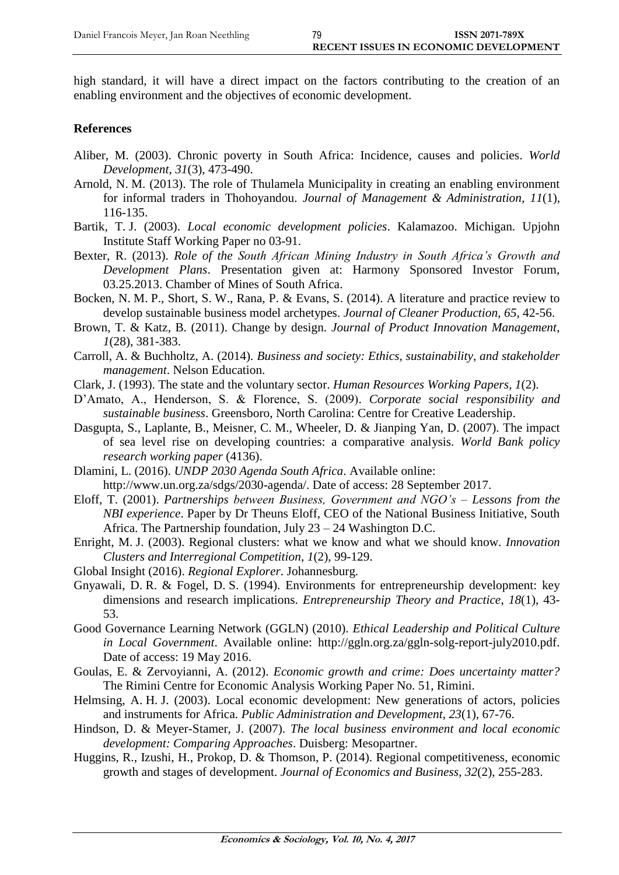high standard, it will have a direct impact on the factors contributing to the creation of an enabling environment and the objectives of economic development.

#### **References**

- Aliber, M. (2003). Chronic poverty in South Africa: Incidence, causes and policies. *World Development*, *31*(3), 473-490.
- Arnold, N. M. (2013). The role of Thulamela Municipality in creating an enabling environment for informal traders in Thohoyandou. *Journal of Management & Administration*, *11*(1), 116-135.
- Bartik, T. J. (2003). *Local economic development policies*. Kalamazoo. Michigan. Upjohn Institute Staff Working Paper no 03-91.
- Bexter, R. (2013). *Role of the South African Mining Industry in South Africa's Growth and Development Plans*. Presentation given at: Harmony Sponsored Investor Forum, 03.25.2013. Chamber of Mines of South Africa.
- Bocken, N. M. P., Short, S. W., Rana, P. & Evans, S. (2014). A literature and practice review to develop sustainable business model archetypes. *Journal of Cleaner Production*, *65*, 42-56.
- Brown, T. & Katz, B. (2011). Change by design. *Journal of Product Innovation Management*, *1*(28), 381-383.
- Carroll, A. & Buchholtz, A. (2014). *Business and society: Ethics, sustainability, and stakeholder management*. Nelson Education.
- Clark, J. (1993). The state and the voluntary sector. *Human Resources Working Papers*, *1*(2).
- D'Amato, A., Henderson, S. & Florence, S. (2009). *Corporate social responsibility and sustainable business*. Greensboro, North Carolina: Centre for Creative Leadership.
- Dasgupta, S., Laplante, B., Meisner, C. M., Wheeler, D. & Jianping Yan, D. (2007). The impact of sea level rise on developing countries: a comparative analysis. *World Bank policy research working paper* (4136).
- Dlamini, L. (2016). *UNDP 2030 Agenda South Africa*. Available online: [http://www.un.org.za/sdgs/2030-agenda/.](http://www.un.org.za/sdgs/2030-agenda/) Date of access: 28 September 2017.
- Eloff, T. (2001). *Partnerships between Business, Government and NGO's – Lessons from the NBI experience*. Paper by Dr Theuns Eloff, CEO of the National Business Initiative, South Africa. The Partnership foundation, July 23 – 24 Washington D.C.
- Enright, M. J. (2003). Regional clusters: what we know and what we should know. *Innovation Clusters and Interregional Competition*, *1*(2), 99-129.
- Global Insight (2016). *Regional Explorer*. Johannesburg.
- Gnyawali, D. R. & Fogel, D. S. (1994). Environments for entrepreneurship development: key dimensions and research implications. *Entrepreneurship Theory and Practice*, *18*(1), 43- 53.
- Good Governance Learning Network (GGLN) (2010). *Ethical Leadership and Political Culture in Local Government*. Available online: [http://ggln.org.za/ggln-solg-report-july2010.pdf.](http://ggln.org.za/ggln-solg-report-july2010.pdf) Date of access: 19 May 2016.
- Goulas, E. & Zervoyianni, A. (2012). *Economic growth and crime: Does uncertainty matter?* The Rimini Centre for Economic Analysis Working Paper No. 51, Rimini.
- Helmsing, A. H. J. (2003). Local economic development: New generations of actors, policies and instruments for Africa. *Public Administration and Development*, *23*(1), 67-76.
- Hindson, D. & Meyer-Stamer, J. (2007). *The local business environment and local economic development: Comparing Approaches*. Duisberg: Mesopartner.
- Huggins, R., Izushi, H., Prokop, D. & Thomson, P. (2014). Regional competitiveness, economic growth and stages of development. *Journal of Economics and Business*, *32*(2), 255-283.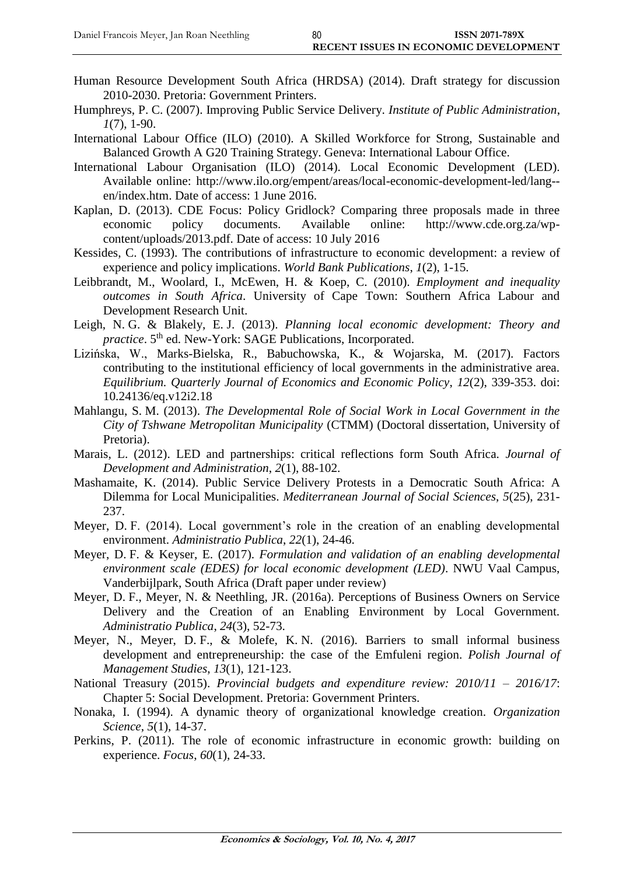- Human Resource Development South Africa (HRDSA) (2014). Draft strategy for discussion 2010-2030. Pretoria: Government Printers.
- Humphreys, P. C. (2007). Improving Public Service Delivery. *Institute of Public Administration*, *1*(7), 1-90.
- International Labour Office (ILO) (2010). A Skilled Workforce for Strong, Sustainable and Balanced Growth A G20 Training Strategy. Geneva: International Labour Office.
- International Labour Organisation (ILO) (2014). Local Economic Development (LED). Available online: [http://www.ilo.org/empent/areas/local-economic-development-led/lang-](http://www.ilo.org/empent/areas/local-economic-development-led/lang--en/index.htm) [en/index.htm.](http://www.ilo.org/empent/areas/local-economic-development-led/lang--en/index.htm) Date of access: 1 June 2016.
- Kaplan, D. (2013). CDE Focus: Policy Gridlock? Comparing three proposals made in three economic policy documents. Available online: http://www.cde.org.za/wpcontent/uploads/2013.pdf. Date of access: 10 July 2016
- Kessides, C. (1993). The contributions of infrastructure to economic development: a review of experience and policy implications. *World Bank Publications*, *1*(2), 1-15.
- Leibbrandt, M., Woolard, I., McEwen, H. & Koep, C. (2010). *Employment and inequality outcomes in South Africa*. University of Cape Town: Southern Africa Labour and Development Research Unit.
- Leigh, N. G. & Blakely, E. J. (2013). *Planning local economic development: Theory and practice*. 5<sup>th</sup> ed. New-York: SAGE Publications, Incorporated.
- Lizińska, W., Marks-Bielska, R., Babuchowska, K., & Wojarska, M. (2017). Factors contributing to the institutional efficiency of local governments in the administrative area. *Equilibrium. Quarterly Journal of Economics and Economic Policy*, *12*(2), 339-353. doi: 10.24136/eq.v12i2.18
- Mahlangu, S. M. (2013). *The Developmental Role of Social Work in Local Government in the City of Tshwane Metropolitan Municipality* (CTMM) (Doctoral dissertation, University of Pretoria).
- Marais, L. (2012). LED and partnerships: critical reflections form South Africa. *Journal of Development and Administration*, *2*(1), 88-102.
- Mashamaite, K. (2014). Public Service Delivery Protests in a Democratic South Africa: A Dilemma for Local Municipalities. *Mediterranean Journal of Social Sciences*, *5*(25), 231- 237.
- Meyer, D. F. (2014). Local government's role in the creation of an enabling developmental environment. *Administratio Publica*, *22*(1), 24-46.
- Meyer, D. F. & Keyser, E. (2017). *Formulation and validation of an enabling developmental environment scale (EDES) for local economic development (LED)*. NWU Vaal Campus, Vanderbijlpark, South Africa (Draft paper under review)
- Meyer, D. F., Meyer, N. & Neethling, JR. (2016a). Perceptions of Business Owners on Service Delivery and the Creation of an Enabling Environment by Local Government. *Administratio Publica*, *24*(3), 52-73.
- Meyer, N., Meyer, D. F., & Molefe, K. N. (2016). Barriers to small informal business development and entrepreneurship: the case of the Emfuleni region. *Polish Journal of Management Studies*, *13*(1), 121-123.
- National Treasury (2015). *Provincial budgets and expenditure review: 2010/11 – 2016/17*: Chapter 5: Social Development. Pretoria: Government Printers.
- Nonaka, I. (1994). A dynamic theory of organizational knowledge creation. *Organization Science*, *5*(1), 14-37.
- Perkins, P. (2011). The role of economic infrastructure in economic growth: building on experience. *Focus*, *60*(1), 24-33.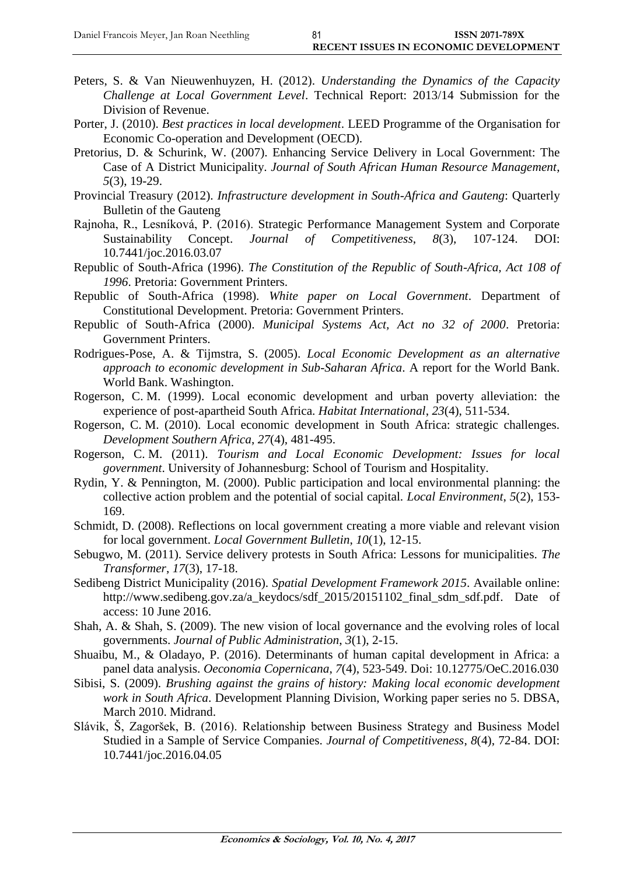- Peters, S. & Van Nieuwenhuyzen, H. (2012). *Understanding the Dynamics of the Capacity Challenge at Local Government Level*. Technical Report: 2013/14 Submission for the Division of Revenue.
- Porter, J. (2010). *Best practices in local development*. LEED Programme of the Organisation for Economic Co-operation and Development (OECD).
- Pretorius, D. & Schurink, W. (2007). Enhancing Service Delivery in Local Government: The Case of A District Municipality. *Journal of South African Human Resource Management*, *5*(3), 19-29.
- Provincial Treasury (2012). *Infrastructure development in South-Africa and Gauteng*: Quarterly Bulletin of the Gauteng
- Rajnoha, R., Lesníková, P. (2016). Strategic Performance Management System and Corporate Sustainability Concept. *Journal of Competitiveness*, *8*(3), 107-124. DOI: 10.7441/joc.2016.03.07
- Republic of South-Africa (1996). *The Constitution of the Republic of South-Africa, Act 108 of 1996*. Pretoria: Government Printers.
- Republic of South-Africa (1998). *White paper on Local Government*. Department of Constitutional Development. Pretoria: Government Printers.
- Republic of South-Africa (2000). *Municipal Systems Act, Act no 32 of 2000*. Pretoria: Government Printers.
- Rodrigues-Pose, A. & Tijmstra, S. (2005). *Local Economic Development as an alternative approach to economic development in Sub-Saharan Africa*. A report for the World Bank. World Bank. Washington.
- Rogerson, C. M. (1999). Local economic development and urban poverty alleviation: the experience of post-apartheid South Africa. *Habitat International*, *23*(4), 511-534.
- Rogerson, C. M. (2010). Local economic development in South Africa: strategic challenges. *Development Southern Africa*, *27*(4), 481-495.
- Rogerson, C. M. (2011). *Tourism and Local Economic Development: Issues for local government*. University of Johannesburg: School of Tourism and Hospitality.
- Rydin, Y. & Pennington, M. (2000). Public participation and local environmental planning: the collective action problem and the potential of social capital. *Local Environment*, *5*(2), 153- 169.
- Schmidt, D. (2008). Reflections on local government creating a more viable and relevant vision for local government. *Local Government Bulletin*, *10*(1), 12-15.
- Sebugwo, M. (2011). Service delivery protests in South Africa: Lessons for municipalities. *The Transformer*, *17*(3), 17-18.
- Sedibeng District Municipality (2016). *Spatial Development Framework 2015*. Available online: [http://www.sedibeng.gov.za/a\\_keydocs/sdf\\_2015/20151102\\_final\\_sdm\\_sdf.pdf.](http://www.sedibeng.gov.za/a_keydocs/sdf_2015/20151102_final_sdm_sdf.pdf) Date of access: 10 June 2016.
- Shah, A. & Shah, S. (2009). The new vision of local governance and the evolving roles of local governments. *Journal of Public Administration*, *3*(1), 2-15.
- Shuaibu, M., & Oladayo, P. (2016). Determinants of human capital development in Africa: a panel data analysis. *Oeconomia Copernicana*, *7*(4), 523-549. Doi: 10.12775/OeC.2016.030
- Sibisi, S. (2009). *Brushing against the grains of history: Making local economic development work in South Africa*. Development Planning Division, Working paper series no 5. DBSA, March 2010. Midrand.
- Slávik, Š, Zagoršek, B. (2016). Relationship between Business Strategy and Business Model Studied in a Sample of Service Companies. *Journal of Competitiveness*, *8*(4), 72-84. DOI: 10.7441/joc.2016.04.05